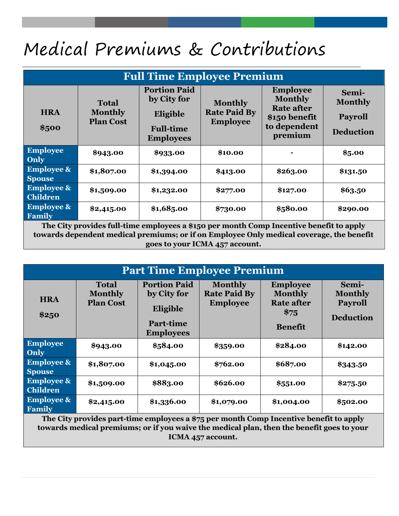## Medical Premiums & Contributions

| <b>Full Time Employee Premium</b>        |                                                    |                                                                                        |                                                          |                                                                                                    |                                                               |
|------------------------------------------|----------------------------------------------------|----------------------------------------------------------------------------------------|----------------------------------------------------------|----------------------------------------------------------------------------------------------------|---------------------------------------------------------------|
| <b>HRA</b><br>\$500                      | <b>Total</b><br><b>Monthly</b><br><b>Plan Cost</b> | <b>Portion Paid</b><br>by City for<br>Eligible<br><b>Full-time</b><br><b>Employees</b> | <b>Monthly</b><br><b>Rate Paid By</b><br><b>Employee</b> | <b>Employee</b><br><b>Monthly</b><br><b>Rate after</b><br>\$150 benefit<br>to dependent<br>premium | Semi-<br><b>Monthly</b><br><b>Payroll</b><br><b>Deduction</b> |
| <b>Employee</b><br>Only                  | \$943.00                                           | \$933.00                                                                               | \$10.00                                                  |                                                                                                    | \$5.00                                                        |
| <b>Employee &amp;</b><br><b>Spouse</b>   | \$1,807.00                                         | \$1,394.00                                                                             | \$413.00                                                 | \$263.00                                                                                           | \$131.50                                                      |
| <b>Employee &amp;</b><br><b>Children</b> | \$1,509.00                                         | \$1,232.00                                                                             | \$277.00                                                 | \$127.00                                                                                           | \$63.50                                                       |
| <b>Employee &amp;</b><br>Family          | \$2,415.00                                         | \$1,685.00                                                                             | \$730.00                                                 | \$580.00                                                                                           | \$290.00                                                      |

**The City provides full-time employees a \$150 per month Comp Incentive benefit to apply towards dependent medical premiums; or if on Employee Only medical coverage, the benefit goes to your ICMA 457 account.**

| <b>Part Time Employee Premium</b>        |                                                    |                                                                                        |                                                          |                                                                                  |                                                               |
|------------------------------------------|----------------------------------------------------|----------------------------------------------------------------------------------------|----------------------------------------------------------|----------------------------------------------------------------------------------|---------------------------------------------------------------|
| <b>HRA</b><br>\$250                      | <b>Total</b><br><b>Monthly</b><br><b>Plan Cost</b> | <b>Portion Paid</b><br>by City for<br>Eligible<br><b>Part-time</b><br><b>Employees</b> | <b>Monthly</b><br><b>Rate Paid By</b><br><b>Employee</b> | <b>Employee</b><br><b>Monthly</b><br><b>Rate after</b><br>\$75<br><b>Benefit</b> | Semi-<br><b>Monthly</b><br><b>Payroll</b><br><b>Deduction</b> |
| <b>Employee</b><br>Only                  | \$943.00                                           | \$584.00                                                                               | \$359.00                                                 | \$284.00                                                                         | \$142.00                                                      |
| <b>Employee &amp;</b><br><b>Spouse</b>   | \$1,807.00                                         | \$1,045.00                                                                             | \$762.00                                                 | \$687.00                                                                         | \$343.50                                                      |
| <b>Employee &amp;</b><br><b>Children</b> | \$1,509.00                                         | \$883.00                                                                               | \$626.00                                                 | \$551.00                                                                         | \$275.50                                                      |
| <b>Employee &amp;</b><br><b>Family</b>   | \$2,415.00<br>$\sim$ $\sim$                        | \$1,336.00                                                                             | \$1,079.00                                               | \$1,004.00                                                                       | \$502.00                                                      |

**The City provides part-time employees a \$75 per month Comp Incentive benefit to apply towards medical premiums; or if you waive the medical plan, then the benefit goes to your ICMA 457 account.**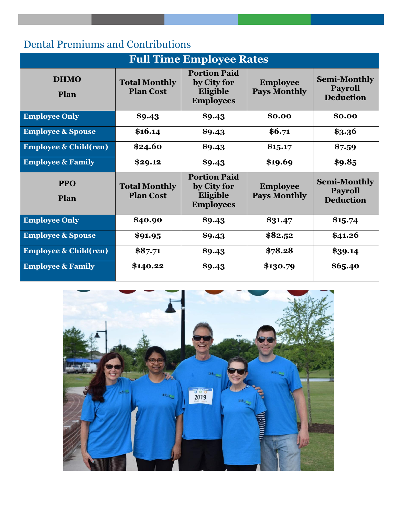## Dental Premiums and Contributions

| <b>Full Time Employee Rates</b>  |                                          |                                                                    |                                        |                                                           |
|----------------------------------|------------------------------------------|--------------------------------------------------------------------|----------------------------------------|-----------------------------------------------------------|
| <b>DHMO</b><br>Plan              | <b>Total Monthly</b><br><b>Plan Cost</b> | <b>Portion Paid</b><br>by City for<br>Eligible<br><b>Employees</b> | <b>Employee</b><br><b>Pays Monthly</b> | <b>Semi-Monthly</b><br><b>Payroll</b><br><b>Deduction</b> |
| <b>Employee Only</b>             | \$9.43                                   | \$9.43                                                             | \$0.00                                 | \$0.00                                                    |
| <b>Employee &amp; Spouse</b>     | \$16.14                                  | \$9.43                                                             | \$6.71                                 | \$3.36                                                    |
| <b>Employee &amp; Child(ren)</b> | \$24.60                                  | \$9.43                                                             | \$15.17                                | \$7.59                                                    |
| <b>Employee &amp; Family</b>     | \$29.12                                  | \$9.43                                                             | \$19.69                                | \$9.85                                                    |
| <b>PPO</b><br>Plan               | <b>Total Monthly</b><br><b>Plan Cost</b> | <b>Portion Paid</b><br>by City for<br>Eligible<br><b>Employees</b> | <b>Employee</b><br><b>Pays Monthly</b> | <b>Semi-Monthly</b><br><b>Payroll</b><br><b>Deduction</b> |
| <b>Employee Only</b>             | \$40.90                                  | \$9.43                                                             | \$31.47                                | \$15.74                                                   |
| <b>Employee &amp; Spouse</b>     | \$91.95                                  | \$9.43                                                             | \$82.52                                | \$41.26                                                   |
| <b>Employee &amp; Child(ren)</b> | \$87.71                                  | \$9.43                                                             | \$78.28                                | \$39.14                                                   |
| <b>Employee &amp; Family</b>     | \$140.22                                 | \$9.43                                                             | \$130.79                               | \$65.40                                                   |

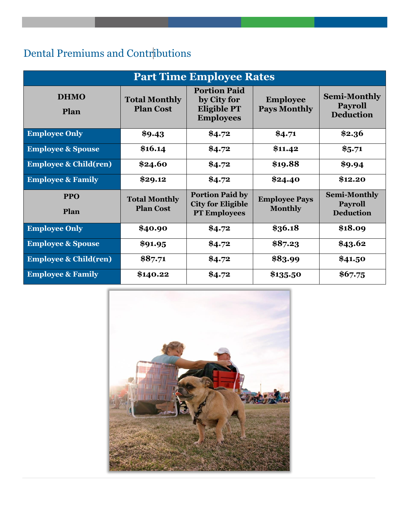## Dental Premiums and Contributions

| <b>Part Time Employee Rates</b>  |                                          |                                                                              |                                        |                                                           |
|----------------------------------|------------------------------------------|------------------------------------------------------------------------------|----------------------------------------|-----------------------------------------------------------|
| <b>DHMO</b><br>Plan              | <b>Total Monthly</b><br><b>Plan Cost</b> | <b>Portion Paid</b><br>by City for<br><b>Eligible PT</b><br><b>Employees</b> | <b>Employee</b><br><b>Pays Monthly</b> | <b>Semi-Monthly</b><br><b>Payroll</b><br><b>Deduction</b> |
| <b>Employee Only</b>             | \$9.43                                   | \$4.72                                                                       | \$4.71                                 | \$2.36                                                    |
| <b>Employee &amp; Spouse</b>     | \$16.14                                  | \$4.72                                                                       | \$11.42                                | \$5.71                                                    |
| <b>Employee &amp; Child(ren)</b> | \$24.60                                  | \$4.72                                                                       | \$19.88                                | \$9.94                                                    |
| <b>Employee &amp; Family</b>     | \$29.12                                  | \$4.72                                                                       | \$24.40                                | \$12.20                                                   |
| <b>PPO</b><br>Plan               | <b>Total Monthly</b><br><b>Plan Cost</b> | <b>Portion Paid by</b><br><b>City for Eligible</b><br><b>PT Employees</b>    | <b>Employee Pays</b><br><b>Monthly</b> | <b>Semi-Monthly</b><br><b>Payroll</b><br><b>Deduction</b> |
| <b>Employee Only</b>             | \$40.90                                  | \$4.72                                                                       | \$36.18                                | \$18.09                                                   |
| <b>Employee &amp; Spouse</b>     | \$91.95                                  | \$4.72                                                                       | \$87.23                                | \$43.62                                                   |
| <b>Employee &amp; Child(ren)</b> | \$87.71                                  | \$4.72                                                                       | \$83.99                                | \$41.50                                                   |
| <b>Employee &amp; Family</b>     | \$140.22                                 | \$4.72                                                                       | \$135.50                               | \$67.75                                                   |